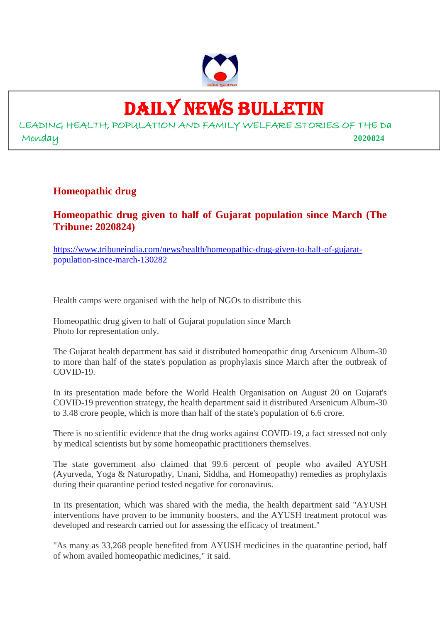

# DAILY NEWS BULLETIN

LEADING HEALTH, POPULATION AND FAMILY WELFARE STORIES OF THE Da Monday **2020824**

#### **Homeopathic drug**

## **Homeopathic drug given to half of Gujarat population since March (The Tribune: 2020824)**

https://www.tribuneindia.com/news/health/homeopathic-drug-given-to-half-of-gujaratpopulation-since-march-130282

Health camps were organised with the help of NGOs to distribute this

Homeopathic drug given to half of Gujarat population since March Photo for representation only.

The Gujarat health department has said it distributed homeopathic drug Arsenicum Album-30 to more than half of the state's population as prophylaxis since March after the outbreak of COVID-19.

In its presentation made before the World Health Organisation on August 20 on Gujarat's COVID-19 prevention strategy, the health department said it distributed Arsenicum Album-30 to 3.48 crore people, which is more than half of the state's population of 6.6 crore.

There is no scientific evidence that the drug works against COVID-19, a fact stressed not only by medical scientists but by some homeopathic practitioners themselves.

The state government also claimed that 99.6 percent of people who availed AYUSH (Ayurveda, Yoga & Naturopathy, Unani, Siddha, and Homeopathy) remedies as prophylaxis during their quarantine period tested negative for coronavirus.

In its presentation, which was shared with the media, the health department said "AYUSH interventions have proven to be immunity boosters, and the AYUSH treatment protocol was developed and research carried out for assessing the efficacy of treatment."

"As many as 33,268 people benefited from AYUSH medicines in the quarantine period, half of whom availed homeopathic medicines," it said.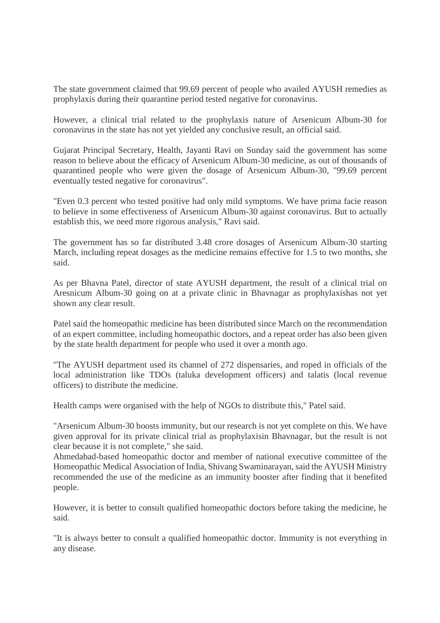The state government claimed that 99.69 percent of people who availed AYUSH remedies as prophylaxis during their quarantine period tested negative for coronavirus.

However, a clinical trial related to the prophylaxis nature of Arsenicum Album-30 for coronavirus in the state has not yet yielded any conclusive result, an official said.

Gujarat Principal Secretary, Health, Jayanti Ravi on Sunday said the government has some reason to believe about the efficacy of Arsenicum Album-30 medicine, as out of thousands of quarantined people who were given the dosage of Arsenicum Album-30, "99.69 percent eventually tested negative for coronavirus".

"Even 0.3 percent who tested positive had only mild symptoms. We have prima facie reason to believe in some effectiveness of Arsenicum Album-30 against coronavirus. But to actually establish this, we need more rigorous analysis," Ravi said.

The government has so far distributed 3.48 crore dosages of Arsenicum Album-30 starting March, including repeat dosages as the medicine remains effective for 1.5 to two months, she said.

As per Bhavna Patel, director of state AYUSH department, the result of a clinical trial on Aresnicum Album-30 going on at a private clinic in Bhavnagar as prophylaxishas not yet shown any clear result.

Patel said the homeopathic medicine has been distributed since March on the recommendation of an expert committee, including homeopathic doctors, and a repeat order has also been given by the state health department for people who used it over a month ago.

"The AYUSH department used its channel of 272 dispensaries, and roped in officials of the local administration like TDOs (taluka development officers) and talatis (local revenue officers) to distribute the medicine.

Health camps were organised with the help of NGOs to distribute this," Patel said.

"Arsenicum Album-30 boosts immunity, but our research is not yet complete on this. We have given approval for its private clinical trial as prophylaxisin Bhavnagar, but the result is not clear because it is not complete," she said.

Ahmedabad-based homeopathic doctor and member of national executive committee of the Homeopathic Medical Association of India, Shivang Swaminarayan, said the AYUSH Ministry recommended the use of the medicine as an immunity booster after finding that it benefited people.

However, it is better to consult qualified homeopathic doctors before taking the medicine, he said.

"It is always better to consult a qualified homeopathic doctor. Immunity is not everything in any disease.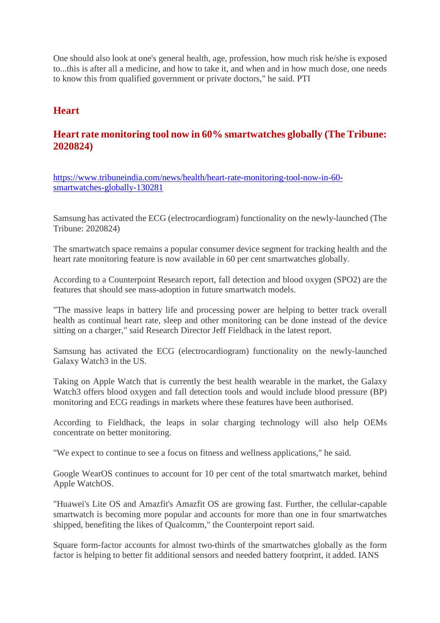One should also look at one's general health, age, profession, how much risk he/she is exposed to...this is after all a medicine, and how to take it, and when and in how much dose, one needs to know this from qualified government or private doctors," he said. PTI

# **Heart**

## **Heart rate monitoring tool now in 60% smartwatches globally (The Tribune: 2020824)**

https://www.tribuneindia.com/news/health/heart-rate-monitoring-tool-now-in-60 smartwatches-globally-130281

Samsung has activated the ECG (electrocardiogram) functionality on the newly-launched (The Tribune: 2020824)

The smartwatch space remains a popular consumer device segment for tracking health and the heart rate monitoring feature is now available in 60 per cent smartwatches globally.

According to a Counterpoint Research report, fall detection and blood oxygen (SPO2) are the features that should see mass-adoption in future smartwatch models.

"The massive leaps in battery life and processing power are helping to better track overall health as continual heart rate, sleep and other monitoring can be done instead of the device sitting on a charger," said Research Director Jeff Fieldhack in the latest report.

Samsung has activated the ECG (electrocardiogram) functionality on the newly-launched Galaxy Watch3 in the US.

Taking on Apple Watch that is currently the best health wearable in the market, the Galaxy Watch3 offers blood oxygen and fall detection tools and would include blood pressure (BP) monitoring and ECG readings in markets where these features have been authorised.

According to Fieldhack, the leaps in solar charging technology will also help OEMs concentrate on better monitoring.

"We expect to continue to see a focus on fitness and wellness applications," he said.

Google WearOS continues to account for 10 per cent of the total smartwatch market, behind Apple WatchOS.

"Huawei's Lite OS and Amazfit's Amazfit OS are growing fast. Further, the cellular-capable smartwatch is becoming more popular and accounts for more than one in four smartwatches shipped, benefiting the likes of Qualcomm," the Counterpoint report said.

Square form-factor accounts for almost two-thirds of the smartwatches globally as the form factor is helping to better fit additional sensors and needed battery footprint, it added. IANS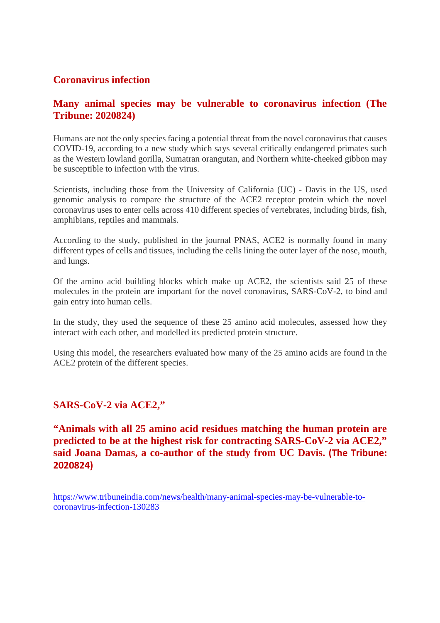#### **Coronavirus infection**

#### **Many animal species may be vulnerable to coronavirus infection (The Tribune: 2020824)**

Humans are not the only species facing a potential threat from the novel coronavirus that causes COVID-19, according to a new study which says several critically endangered primates such as the Western lowland gorilla, Sumatran orangutan, and Northern white-cheeked gibbon may be susceptible to infection with the virus.

Scientists, including those from the University of California (UC) - Davis in the US, used genomic analysis to compare the structure of the ACE2 receptor protein which the novel coronavirus uses to enter cells across 410 different species of vertebrates, including birds, fish, amphibians, reptiles and mammals.

According to the study, published in the journal PNAS, ACE2 is normally found in many different types of cells and tissues, including the cells lining the outer layer of the nose, mouth, and lungs.

Of the amino acid building blocks which make up ACE2, the scientists said 25 of these molecules in the protein are important for the novel coronavirus, SARS-CoV-2, to bind and gain entry into human cells.

In the study, they used the sequence of these 25 amino acid molecules, assessed how they interact with each other, and modelled its predicted protein structure.

Using this model, the researchers evaluated how many of the 25 amino acids are found in the ACE2 protein of the different species.

#### **SARS-CoV-2 via ACE2,"**

**"Animals with all 25 amino acid residues matching the human protein are predicted to be at the highest risk for contracting SARS-CoV-2 via ACE2," said Joana Damas, a co-author of the study from UC Davis. (The Tribune: 2020824)**

https://www.tribuneindia.com/news/health/many-animal-species-may-be-vulnerable-tocoronavirus-infection-130283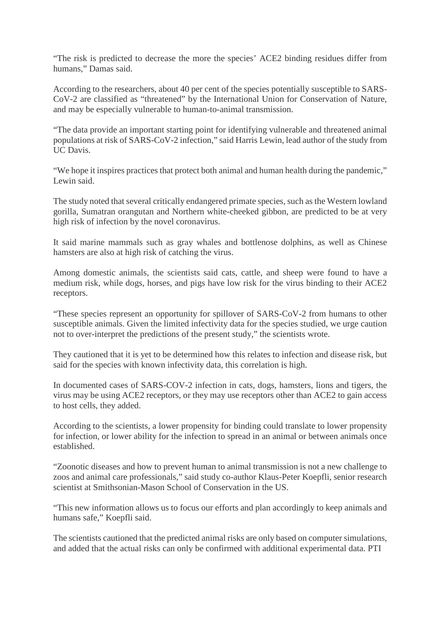"The risk is predicted to decrease the more the species' ACE2 binding residues differ from humans," Damas said.

According to the researchers, about 40 per cent of the species potentially susceptible to SARS-CoV-2 are classified as "threatened" by the International Union for Conservation of Nature, and may be especially vulnerable to human-to-animal transmission.

"The data provide an important starting point for identifying vulnerable and threatened animal populations at risk of SARS-CoV-2 infection," said Harris Lewin, lead author of the study from UC Davis.

"We hope it inspires practices that protect both animal and human health during the pandemic," Lewin said.

The study noted that several critically endangered primate species, such as the Western lowland gorilla, Sumatran orangutan and Northern white-cheeked gibbon, are predicted to be at very high risk of infection by the novel coronavirus.

It said marine mammals such as gray whales and bottlenose dolphins, as well as Chinese hamsters are also at high risk of catching the virus.

Among domestic animals, the scientists said cats, cattle, and sheep were found to have a medium risk, while dogs, horses, and pigs have low risk for the virus binding to their ACE2 receptors.

"These species represent an opportunity for spillover of SARS-CoV-2 from humans to other susceptible animals. Given the limited infectivity data for the species studied, we urge caution not to over-interpret the predictions of the present study," the scientists wrote.

They cautioned that it is yet to be determined how this relates to infection and disease risk, but said for the species with known infectivity data, this correlation is high.

In documented cases of SARS-COV-2 infection in cats, dogs, hamsters, lions and tigers, the virus may be using ACE2 receptors, or they may use receptors other than ACE2 to gain access to host cells, they added.

According to the scientists, a lower propensity for binding could translate to lower propensity for infection, or lower ability for the infection to spread in an animal or between animals once established.

"Zoonotic diseases and how to prevent human to animal transmission is not a new challenge to zoos and animal care professionals," said study co-author Klaus-Peter Koepfli, senior research scientist at Smithsonian-Mason School of Conservation in the US.

"This new information allows us to focus our efforts and plan accordingly to keep animals and humans safe," Koepfli said.

The scientists cautioned that the predicted animal risks are only based on computer simulations, and added that the actual risks can only be confirmed with additional experimental data. PTI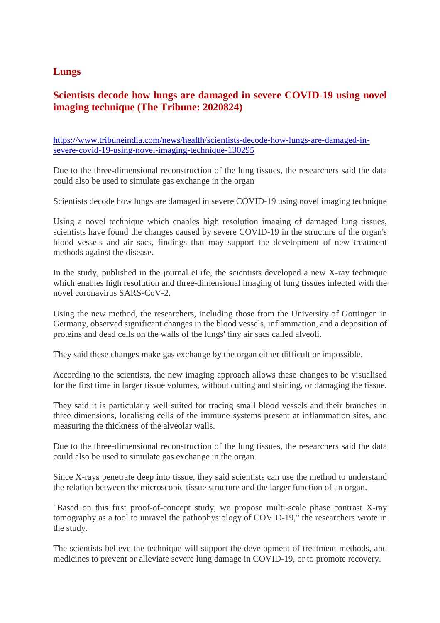#### **Lungs**

# **Scientists decode how lungs are damaged in severe COVID-19 using novel imaging technique (The Tribune: 2020824)**

https://www.tribuneindia.com/news/health/scientists-decode-how-lungs-are-damaged-insevere-covid-19-using-novel-imaging-technique-130295

Due to the three-dimensional reconstruction of the lung tissues, the researchers said the data could also be used to simulate gas exchange in the organ

Scientists decode how lungs are damaged in severe COVID-19 using novel imaging technique

Using a novel technique which enables high resolution imaging of damaged lung tissues, scientists have found the changes caused by severe COVID-19 in the structure of the organ's blood vessels and air sacs, findings that may support the development of new treatment methods against the disease.

In the study, published in the journal eLife, the scientists developed a new X-ray technique which enables high resolution and three-dimensional imaging of lung tissues infected with the novel coronavirus SARS-CoV-2.

Using the new method, the researchers, including those from the University of Gottingen in Germany, observed significant changes in the blood vessels, inflammation, and a deposition of proteins and dead cells on the walls of the lungs' tiny air sacs called alveoli.

They said these changes make gas exchange by the organ either difficult or impossible.

According to the scientists, the new imaging approach allows these changes to be visualised for the first time in larger tissue volumes, without cutting and staining, or damaging the tissue.

They said it is particularly well suited for tracing small blood vessels and their branches in three dimensions, localising cells of the immune systems present at inflammation sites, and measuring the thickness of the alveolar walls.

Due to the three-dimensional reconstruction of the lung tissues, the researchers said the data could also be used to simulate gas exchange in the organ.

Since X-rays penetrate deep into tissue, they said scientists can use the method to understand the relation between the microscopic tissue structure and the larger function of an organ.

"Based on this first proof-of-concept study, we propose multi-scale phase contrast X-ray tomography as a tool to unravel the pathophysiology of COVID-19," the researchers wrote in the study.

The scientists believe the technique will support the development of treatment methods, and medicines to prevent or alleviate severe lung damage in COVID-19, or to promote recovery.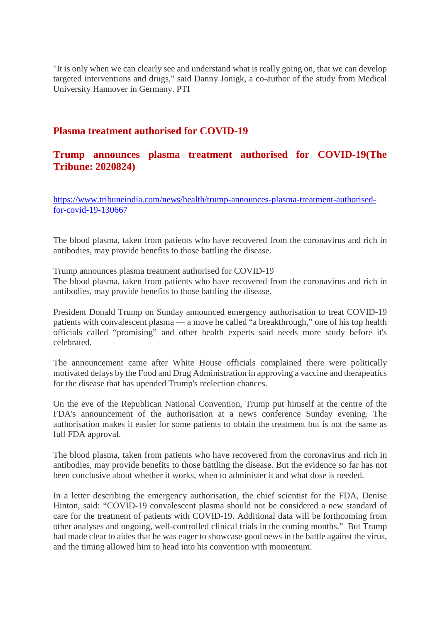"It is only when we can clearly see and understand what is really going on, that we can develop targeted interventions and drugs," said Danny Jonigk, a co-author of the study from Medical University Hannover in Germany. PTI

#### **Plasma treatment authorised for COVID-19**

#### **Trump announces plasma treatment authorised for COVID-19(The Tribune: 2020824)**

https://www.tribuneindia.com/news/health/trump-announces-plasma-treatment-authorisedfor-covid-19-130667

The blood plasma, taken from patients who have recovered from the coronavirus and rich in antibodies, may provide benefits to those battling the disease.

Trump announces plasma treatment authorised for COVID-19 The blood plasma, taken from patients who have recovered from the coronavirus and rich in antibodies, may provide benefits to those battling the disease.

President Donald Trump on Sunday announced emergency authorisation to treat COVID-19 patients with convalescent plasma — a move he called "a breakthrough," one of his top health officials called "promising" and other health experts said needs more study before it's celebrated.

The announcement came after White House officials complained there were politically motivated delays by the Food and Drug Administration in approving a vaccine and therapeutics for the disease that has upended Trump's reelection chances.

On the eve of the Republican National Convention, Trump put himself at the centre of the FDA's announcement of the authorisation at a news conference Sunday evening. The authorisation makes it easier for some patients to obtain the treatment but is not the same as full FDA approval.

The blood plasma, taken from patients who have recovered from the coronavirus and rich in antibodies, may provide benefits to those battling the disease. But the evidence so far has not been conclusive about whether it works, when to administer it and what dose is needed.

In a letter describing the emergency authorisation, the chief scientist for the FDA, Denise Hinton, said: "COVID-19 convalescent plasma should not be considered a new standard of care for the treatment of patients with COVID-19. Additional data will be forthcoming from other analyses and ongoing, well-controlled clinical trials in the coming months." But Trump had made clear to aides that he was eager to showcase good news in the battle against the virus, and the timing allowed him to head into his convention with momentum.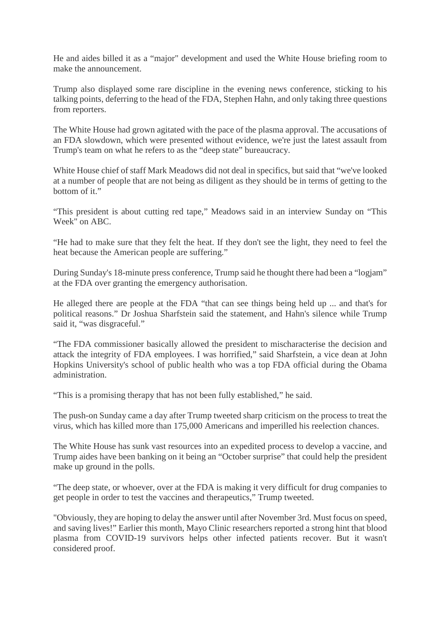He and aides billed it as a "major" development and used the White House briefing room to make the announcement.

Trump also displayed some rare discipline in the evening news conference, sticking to his talking points, deferring to the head of the FDA, Stephen Hahn, and only taking three questions from reporters.

The White House had grown agitated with the pace of the plasma approval. The accusations of an FDA slowdown, which were presented without evidence, we're just the latest assault from Trump's team on what he refers to as the "deep state" bureaucracy.

White House chief of staff Mark Meadows did not deal in specifics, but said that "we've looked at a number of people that are not being as diligent as they should be in terms of getting to the bottom of it."

"This president is about cutting red tape," Meadows said in an interview Sunday on "This Week" on ABC.

"He had to make sure that they felt the heat. If they don't see the light, they need to feel the heat because the American people are suffering."

During Sunday's 18-minute press conference, Trump said he thought there had been a "logjam" at the FDA over granting the emergency authorisation.

He alleged there are people at the FDA "that can see things being held up ... and that's for political reasons." Dr Joshua Sharfstein said the statement, and Hahn's silence while Trump said it, "was disgraceful."

"The FDA commissioner basically allowed the president to mischaracterise the decision and attack the integrity of FDA employees. I was horrified," said Sharfstein, a vice dean at John Hopkins University's school of public health who was a top FDA official during the Obama administration.

"This is a promising therapy that has not been fully established," he said.

The push-on Sunday came a day after Trump tweeted sharp criticism on the process to treat the virus, which has killed more than 175,000 Americans and imperilled his reelection chances.

The White House has sunk vast resources into an expedited process to develop a vaccine, and Trump aides have been banking on it being an "October surprise" that could help the president make up ground in the polls.

"The deep state, or whoever, over at the FDA is making it very difficult for drug companies to get people in order to test the vaccines and therapeutics," Trump tweeted.

"Obviously, they are hoping to delay the answer until after November 3rd. Must focus on speed, and saving lives!" Earlier this month, Mayo Clinic researchers reported a strong hint that blood plasma from COVID-19 survivors helps other infected patients recover. But it wasn't considered proof.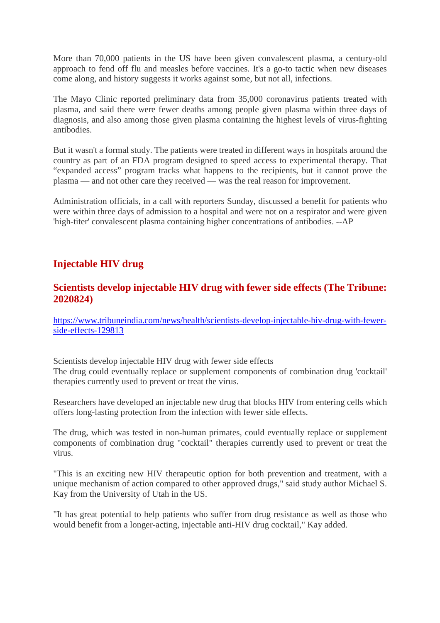More than 70,000 patients in the US have been given convalescent plasma, a century-old approach to fend off flu and measles before vaccines. It's a go-to tactic when new diseases come along, and history suggests it works against some, but not all, infections.

The Mayo Clinic reported preliminary data from 35,000 coronavirus patients treated with plasma, and said there were fewer deaths among people given plasma within three days of diagnosis, and also among those given plasma containing the highest levels of virus-fighting antibodies.

But it wasn't a formal study. The patients were treated in different ways in hospitals around the country as part of an FDA program designed to speed access to experimental therapy. That "expanded access" program tracks what happens to the recipients, but it cannot prove the plasma — and not other care they received — was the real reason for improvement.

Administration officials, in a call with reporters Sunday, discussed a benefit for patients who were within three days of admission to a hospital and were not on a respirator and were given 'high-titer' convalescent plasma containing higher concentrations of antibodies. --AP

# **Injectable HIV drug**

#### **Scientists develop injectable HIV drug with fewer side effects (The Tribune: 2020824)**

https://www.tribuneindia.com/news/health/scientists-develop-injectable-hiv-drug-with-fewerside-effects-129813

Scientists develop injectable HIV drug with fewer side effects The drug could eventually replace or supplement components of combination drug 'cocktail' therapies currently used to prevent or treat the virus.

Researchers have developed an injectable new drug that blocks HIV from entering cells which offers long-lasting protection from the infection with fewer side effects.

The drug, which was tested in non-human primates, could eventually replace or supplement components of combination drug "cocktail" therapies currently used to prevent or treat the virus.

"This is an exciting new HIV therapeutic option for both prevention and treatment, with a unique mechanism of action compared to other approved drugs," said study author Michael S. Kay from the University of Utah in the US.

"It has great potential to help patients who suffer from drug resistance as well as those who would benefit from a longer-acting, injectable anti-HIV drug cocktail," Kay added.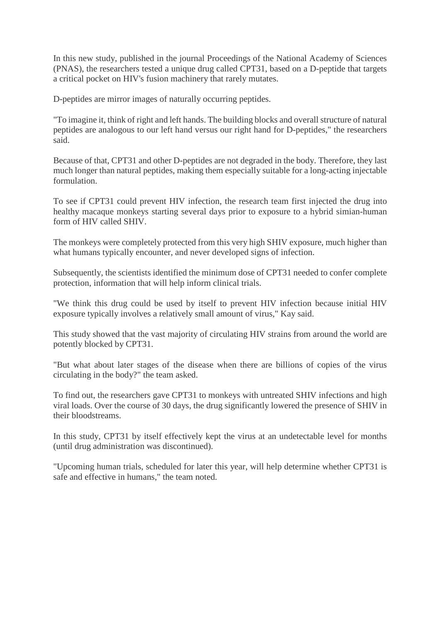In this new study, published in the journal Proceedings of the National Academy of Sciences (PNAS), the researchers tested a unique drug called CPT31, based on a D-peptide that targets a critical pocket on HIV's fusion machinery that rarely mutates.

D-peptides are mirror images of naturally occurring peptides.

"To imagine it, think of right and left hands. The building blocks and overall structure of natural peptides are analogous to our left hand versus our right hand for D-peptides," the researchers said.

Because of that, CPT31 and other D-peptides are not degraded in the body. Therefore, they last much longer than natural peptides, making them especially suitable for a long-acting injectable formulation.

To see if CPT31 could prevent HIV infection, the research team first injected the drug into healthy macaque monkeys starting several days prior to exposure to a hybrid simian-human form of HIV called SHIV.

The monkeys were completely protected from this very high SHIV exposure, much higher than what humans typically encounter, and never developed signs of infection.

Subsequently, the scientists identified the minimum dose of CPT31 needed to confer complete protection, information that will help inform clinical trials.

"We think this drug could be used by itself to prevent HIV infection because initial HIV exposure typically involves a relatively small amount of virus," Kay said.

This study showed that the vast majority of circulating HIV strains from around the world are potently blocked by CPT31.

"But what about later stages of the disease when there are billions of copies of the virus circulating in the body?" the team asked.

To find out, the researchers gave CPT31 to monkeys with untreated SHIV infections and high viral loads. Over the course of 30 days, the drug significantly lowered the presence of SHIV in their bloodstreams.

In this study, CPT31 by itself effectively kept the virus at an undetectable level for months (until drug administration was discontinued).

"Upcoming human trials, scheduled for later this year, will help determine whether CPT31 is safe and effective in humans," the team noted.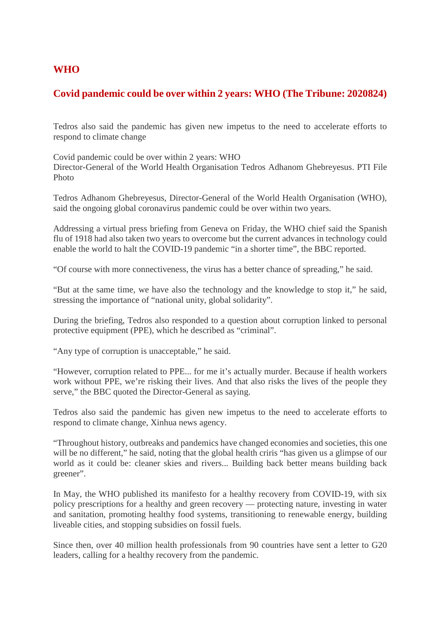#### **WHO**

#### **Covid pandemic could be over within 2 years: WHO (The Tribune: 2020824)**

Tedros also said the pandemic has given new impetus to the need to accelerate efforts to respond to climate change

Covid pandemic could be over within 2 years: WHO

Director-General of the World Health Organisation Tedros Adhanom Ghebreyesus. PTI File **Photo** 

Tedros Adhanom Ghebreyesus, Director-General of the World Health Organisation (WHO), said the ongoing global coronavirus pandemic could be over within two years.

Addressing a virtual press briefing from Geneva on Friday, the WHO chief said the Spanish flu of 1918 had also taken two years to overcome but the current advances in technology could enable the world to halt the COVID-19 pandemic "in a shorter time", the BBC reported.

"Of course with more connectiveness, the virus has a better chance of spreading," he said.

"But at the same time, we have also the technology and the knowledge to stop it," he said, stressing the importance of "national unity, global solidarity".

During the briefing, Tedros also responded to a question about corruption linked to personal protective equipment (PPE), which he described as "criminal".

"Any type of corruption is unacceptable," he said.

"However, corruption related to PPE... for me it's actually murder. Because if health workers work without PPE, we're risking their lives. And that also risks the lives of the people they serve," the BBC quoted the Director-General as saying.

Tedros also said the pandemic has given new impetus to the need to accelerate efforts to respond to climate change, Xinhua news agency.

"Throughout history, outbreaks and pandemics have changed economies and societies, this one will be no different," he said, noting that the global health criris "has given us a glimpse of our world as it could be: cleaner skies and rivers... Building back better means building back greener".

In May, the WHO published its manifesto for a healthy recovery from COVID-19, with six policy prescriptions for a healthy and green recovery — protecting nature, investing in water and sanitation, promoting healthy food systems, transitioning to renewable energy, building liveable cities, and stopping subsidies on fossil fuels.

Since then, over 40 million health professionals from 90 countries have sent a letter to G20 leaders, calling for a healthy recovery from the pandemic.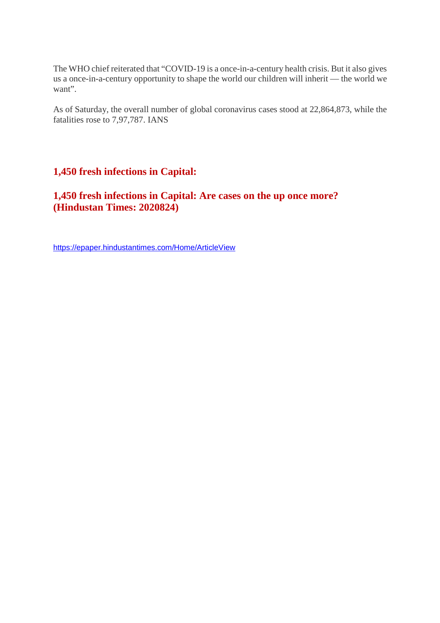The WHO chief reiterated that "COVID-19 is a once-in-a-century health crisis. But it also gives us a once-in-a-century opportunity to shape the world our children will inherit — the world we want".

As of Saturday, the overall number of global coronavirus cases stood at 22,864,873, while the fatalities rose to 7,97,787. IANS

#### **1,450 fresh infections in Capital:**

#### **1,450 fresh infections in Capital: Are cases on the up once more? (Hindustan Times: 2020824)**

https://epaper.hindustantimes.com/Home/ArticleView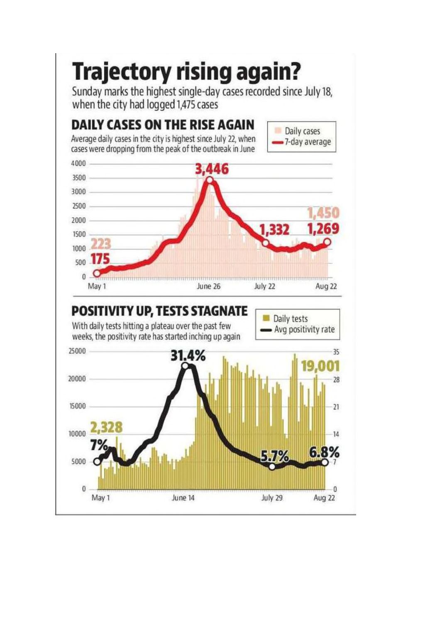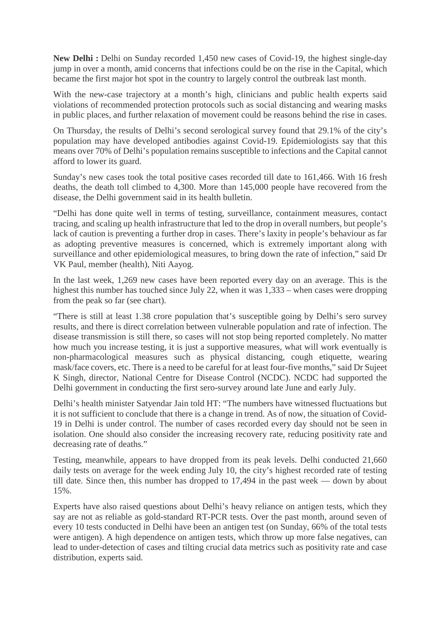**New Delhi :** Delhi on Sunday recorded 1,450 new cases of Covid-19, the highest single-day jump in over a month, amid concerns that infections could be on the rise in the Capital, which became the first major hot spot in the country to largely control the outbreak last month.

With the new-case trajectory at a month's high, clinicians and public health experts said violations of recommended protection protocols such as social distancing and wearing masks in public places, and further relaxation of movement could be reasons behind the rise in cases.

On Thursday, the results of Delhi's second serological survey found that 29.1% of the city's population may have developed antibodies against Covid-19. Epidemiologists say that this means over 70% of Delhi's population remains susceptible to infections and the Capital cannot afford to lower its guard.

Sunday's new cases took the total positive cases recorded till date to 161,466. With 16 fresh deaths, the death toll climbed to 4,300. More than 145,000 people have recovered from the disease, the Delhi government said in its health bulletin.

"Delhi has done quite well in terms of testing, surveillance, containment measures, contact tracing, and scaling up health infrastructure that led to the drop in overall numbers, but people's lack of caution is preventing a further drop in cases. There's laxity in people's behaviour as far as adopting preventive measures is concerned, which is extremely important along with surveillance and other epidemiological measures, to bring down the rate of infection," said Dr VK Paul, member (health), Niti Aayog.

In the last week, 1,269 new cases have been reported every day on an average. This is the highest this number has touched since July 22, when it was 1,333 – when cases were dropping from the peak so far (see chart).

"There is still at least 1.38 crore population that's susceptible going by Delhi's sero survey results, and there is direct correlation between vulnerable population and rate of infection. The disease transmission is still there, so cases will not stop being reported completely. No matter how much you increase testing, it is just a supportive measures, what will work eventually is non-pharmacological measures such as physical distancing, cough etiquette, wearing mask/face covers, etc. There is a need to be careful for at least four-five months," said Dr Sujeet K Singh, director, National Centre for Disease Control (NCDC). NCDC had supported the Delhi government in conducting the first sero-survey around late June and early July.

Delhi's health minister Satyendar Jain told HT: "The numbers have witnessed fluctuations but it is not sufficient to conclude that there is a change in trend. As of now, the situation of Covid-19 in Delhi is under control. The number of cases recorded every day should not be seen in isolation. One should also consider the increasing recovery rate, reducing positivity rate and decreasing rate of deaths."

Testing, meanwhile, appears to have dropped from its peak levels. Delhi conducted 21,660 daily tests on average for the week ending July 10, the city's highest recorded rate of testing till date. Since then, this number has dropped to 17,494 in the past week — down by about 15%.

Experts have also raised questions about Delhi's heavy reliance on antigen tests, which they say are not as reliable as gold-standard RT-PCR tests. Over the past month, around seven of every 10 tests conducted in Delhi have been an antigen test (on Sunday, 66% of the total tests were antigen). A high dependence on antigen tests, which throw up more false negatives, can lead to under-detection of cases and tilting crucial data metrics such as positivity rate and case distribution, experts said.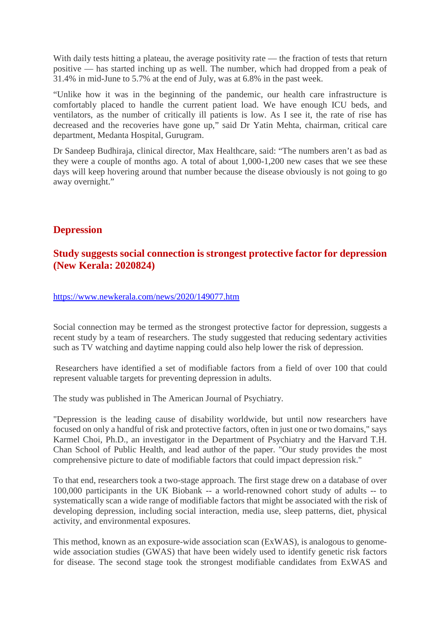With daily tests hitting a plateau, the average positivity rate — the fraction of tests that return positive — has started inching up as well. The number, which had dropped from a peak of 31.4% in mid-June to 5.7% at the end of July, was at 6.8% in the past week.

"Unlike how it was in the beginning of the pandemic, our health care infrastructure is comfortably placed to handle the current patient load. We have enough ICU beds, and ventilators, as the number of critically ill patients is low. As I see it, the rate of rise has decreased and the recoveries have gone up," said Dr Yatin Mehta, chairman, critical care department, Medanta Hospital, Gurugram.

Dr Sandeep Budhiraja, clinical director, Max Healthcare, said: "The numbers aren't as bad as they were a couple of months ago. A total of about 1,000-1,200 new cases that we see these days will keep hovering around that number because the disease obviously is not going to go away overnight."

#### **Depression**

#### **Study suggests social connection is strongest protective factor for depression (New Kerala: 2020824)**

https://www.newkerala.com/news/2020/149077.htm

Social connection may be termed as the strongest protective factor for depression, suggests a recent study by a team of researchers. The study suggested that reducing sedentary activities such as TV watching and daytime napping could also help lower the risk of depression.

Researchers have identified a set of modifiable factors from a field of over 100 that could represent valuable targets for preventing depression in adults.

The study was published in The American Journal of Psychiatry.

"Depression is the leading cause of disability worldwide, but until now researchers have focused on only a handful of risk and protective factors, often in just one or two domains," says Karmel Choi, Ph.D., an investigator in the Department of Psychiatry and the Harvard T.H. Chan School of Public Health, and lead author of the paper. "Our study provides the most comprehensive picture to date of modifiable factors that could impact depression risk."

To that end, researchers took a two-stage approach. The first stage drew on a database of over 100,000 participants in the UK Biobank -- a world-renowned cohort study of adults -- to systematically scan a wide range of modifiable factors that might be associated with the risk of developing depression, including social interaction, media use, sleep patterns, diet, physical activity, and environmental exposures.

This method, known as an exposure-wide association scan (ExWAS), is analogous to genomewide association studies (GWAS) that have been widely used to identify genetic risk factors for disease. The second stage took the strongest modifiable candidates from ExWAS and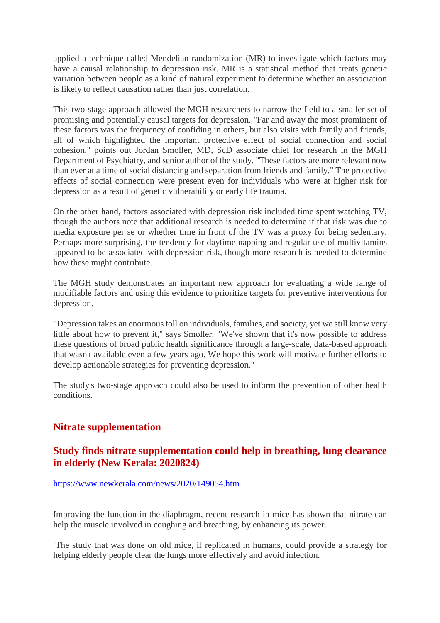applied a technique called Mendelian randomization (MR) to investigate which factors may have a causal relationship to depression risk. MR is a statistical method that treats genetic variation between people as a kind of natural experiment to determine whether an association is likely to reflect causation rather than just correlation.

This two-stage approach allowed the MGH researchers to narrow the field to a smaller set of promising and potentially causal targets for depression. "Far and away the most prominent of these factors was the frequency of confiding in others, but also visits with family and friends, all of which highlighted the important protective effect of social connection and social cohesion," points out Jordan Smoller, MD, ScD associate chief for research in the MGH Department of Psychiatry, and senior author of the study. "These factors are more relevant now than ever at a time of social distancing and separation from friends and family." The protective effects of social connection were present even for individuals who were at higher risk for depression as a result of genetic vulnerability or early life trauma.

On the other hand, factors associated with depression risk included time spent watching TV, though the authors note that additional research is needed to determine if that risk was due to media exposure per se or whether time in front of the TV was a proxy for being sedentary. Perhaps more surprising, the tendency for daytime napping and regular use of multivitamins appeared to be associated with depression risk, though more research is needed to determine how these might contribute.

The MGH study demonstrates an important new approach for evaluating a wide range of modifiable factors and using this evidence to prioritize targets for preventive interventions for depression.

"Depression takes an enormous toll on individuals, families, and society, yet we still know very little about how to prevent it," says Smoller. "We've shown that it's now possible to address these questions of broad public health significance through a large-scale, data-based approach that wasn't available even a few years ago. We hope this work will motivate further efforts to develop actionable strategies for preventing depression."

The study's two-stage approach could also be used to inform the prevention of other health conditions.

# **Nitrate supplementation**

#### **Study finds nitrate supplementation could help in breathing, lung clearance in elderly (New Kerala: 2020824)**

https://www.newkerala.com/news/2020/149054.htm

Improving the function in the diaphragm, recent research in mice has shown that nitrate can help the muscle involved in coughing and breathing, by enhancing its power.

The study that was done on old mice, if replicated in humans, could provide a strategy for helping elderly people clear the lungs more effectively and avoid infection.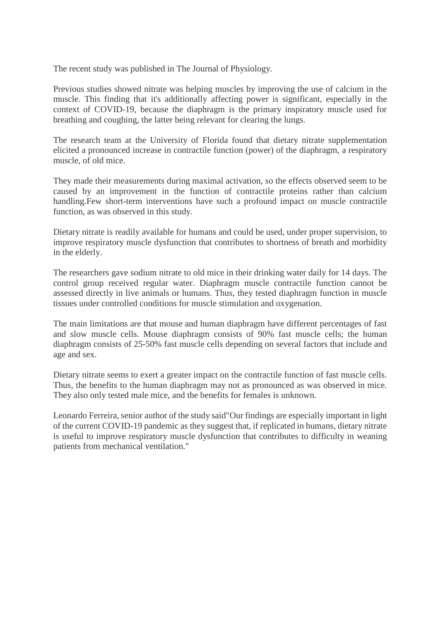The recent study was published in The Journal of Physiology.

Previous studies showed nitrate was helping muscles by improving the use of calcium in the muscle. This finding that it's additionally affecting power is significant, especially in the context of COVID-19, because the diaphragm is the primary inspiratory muscle used for breathing and coughing, the latter being relevant for clearing the lungs.

The research team at the University of Florida found that dietary nitrate supplementation elicited a pronounced increase in contractile function (power) of the diaphragm, a respiratory muscle, of old mice.

They made their measurements during maximal activation, so the effects observed seem to be caused by an improvement in the function of contractile proteins rather than calcium handling.Few short-term interventions have such a profound impact on muscle contractile function, as was observed in this study.

Dietary nitrate is readily available for humans and could be used, under proper supervision, to improve respiratory muscle dysfunction that contributes to shortness of breath and morbidity in the elderly.

The researchers gave sodium nitrate to old mice in their drinking water daily for 14 days. The control group received regular water. Diaphragm muscle contractile function cannot be assessed directly in live animals or humans. Thus, they tested diaphragm function in muscle tissues under controlled conditions for muscle stimulation and oxygenation.

The main limitations are that mouse and human diaphragm have different percentages of fast and slow muscle cells. Mouse diaphragm consists of 90% fast muscle cells; the human diaphragm consists of 25-50% fast muscle cells depending on several factors that include and age and sex.

Dietary nitrate seems to exert a greater impact on the contractile function of fast muscle cells. Thus, the benefits to the human diaphragm may not as pronounced as was observed in mice. They also only tested male mice, and the benefits for females is unknown.

Leonardo Ferreira, senior author of the study said"Our findings are especially important in light of the current COVID-19 pandemic as they suggest that, if replicated in humans, dietary nitrate is useful to improve respiratory muscle dysfunction that contributes to difficulty in weaning patients from mechanical ventilation."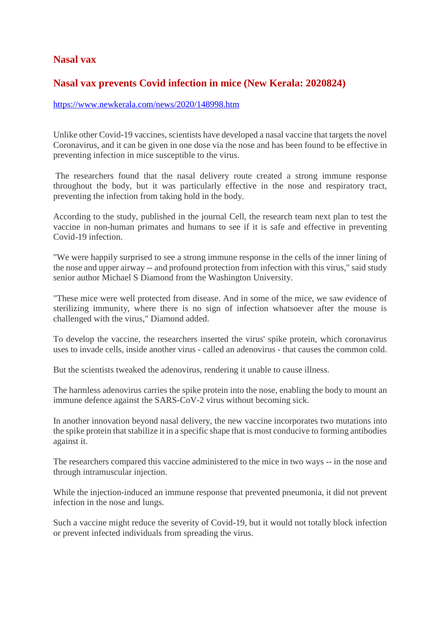#### **Nasal vax**

## **Nasal vax prevents Covid infection in mice (New Kerala: 2020824)**

#### https://www.newkerala.com/news/2020/148998.htm

Unlike other Covid-19 vaccines, scientists have developed a nasal vaccine that targets the novel Coronavirus, and it can be given in one dose via the nose and has been found to be effective in preventing infection in mice susceptible to the virus.

The researchers found that the nasal delivery route created a strong immune response throughout the body, but it was particularly effective in the nose and respiratory tract, preventing the infection from taking hold in the body.

According to the study, published in the journal Cell, the research team next plan to test the vaccine in non-human primates and humans to see if it is safe and effective in preventing Covid-19 infection.

"We were happily surprised to see a strong immune response in the cells of the inner lining of the nose and upper airway -- and profound protection from infection with this virus," said study senior author Michael S Diamond from the Washington University.

"These mice were well protected from disease. And in some of the mice, we saw evidence of sterilizing immunity, where there is no sign of infection whatsoever after the mouse is challenged with the virus," Diamond added.

To develop the vaccine, the researchers inserted the virus' spike protein, which coronavirus uses to invade cells, inside another virus - called an adenovirus - that causes the common cold.

But the scientists tweaked the adenovirus, rendering it unable to cause illness.

The harmless adenovirus carries the spike protein into the nose, enabling the body to mount an immune defence against the SARS-CoV-2 virus without becoming sick.

In another innovation beyond nasal delivery, the new vaccine incorporates two mutations into the spike protein that stabilize it in a specific shape that is most conducive to forming antibodies against it.

The researchers compared this vaccine administered to the mice in two ways -- in the nose and through intramuscular injection.

While the injection-induced an immune response that prevented pneumonia, it did not prevent infection in the nose and lungs.

Such a vaccine might reduce the severity of Covid-19, but it would not totally block infection or prevent infected individuals from spreading the virus.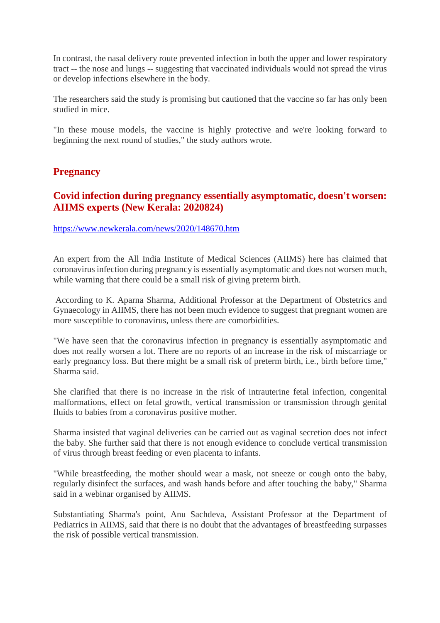In contrast, the nasal delivery route prevented infection in both the upper and lower respiratory tract -- the nose and lungs -- suggesting that vaccinated individuals would not spread the virus or develop infections elsewhere in the body.

The researchers said the study is promising but cautioned that the vaccine so far has only been studied in mice.

"In these mouse models, the vaccine is highly protective and we're looking forward to beginning the next round of studies," the study authors wrote.

#### **Pregnancy**

#### **Covid infection during pregnancy essentially asymptomatic, doesn't worsen: AIIMS experts (New Kerala: 2020824)**

#### https://www.newkerala.com/news/2020/148670.htm

An expert from the All India Institute of Medical Sciences (AIIMS) here has claimed that coronavirus infection during pregnancy is essentially asymptomatic and does not worsen much, while warning that there could be a small risk of giving preterm birth.

According to K. Aparna Sharma, Additional Professor at the Department of Obstetrics and Gynaecology in AIIMS, there has not been much evidence to suggest that pregnant women are more susceptible to coronavirus, unless there are comorbidities.

"We have seen that the coronavirus infection in pregnancy is essentially asymptomatic and does not really worsen a lot. There are no reports of an increase in the risk of miscarriage or early pregnancy loss. But there might be a small risk of preterm birth, i.e., birth before time," Sharma said.

She clarified that there is no increase in the risk of intrauterine fetal infection, congenital malformations, effect on fetal growth, vertical transmission or transmission through genital fluids to babies from a coronavirus positive mother.

Sharma insisted that vaginal deliveries can be carried out as vaginal secretion does not infect the baby. She further said that there is not enough evidence to conclude vertical transmission of virus through breast feeding or even placenta to infants.

"While breastfeeding, the mother should wear a mask, not sneeze or cough onto the baby, regularly disinfect the surfaces, and wash hands before and after touching the baby," Sharma said in a webinar organised by AIIMS.

Substantiating Sharma's point, Anu Sachdeva, Assistant Professor at the Department of Pediatrics in AIIMS, said that there is no doubt that the advantages of breastfeeding surpasses the risk of possible vertical transmission.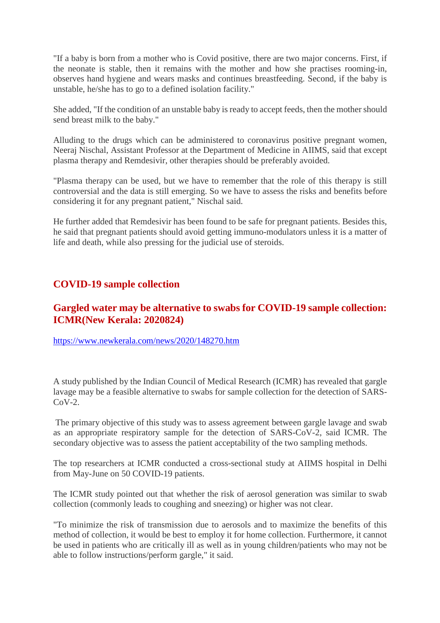"If a baby is born from a mother who is Covid positive, there are two major concerns. First, if the neonate is stable, then it remains with the mother and how she practises rooming-in, observes hand hygiene and wears masks and continues breastfeeding. Second, if the baby is unstable, he/she has to go to a defined isolation facility."

She added, "If the condition of an unstable baby is ready to accept feeds, then the mother should send breast milk to the baby."

Alluding to the drugs which can be administered to coronavirus positive pregnant women, Neeraj Nischal, Assistant Professor at the Department of Medicine in AIIMS, said that except plasma therapy and Remdesivir, other therapies should be preferably avoided.

"Plasma therapy can be used, but we have to remember that the role of this therapy is still controversial and the data is still emerging. So we have to assess the risks and benefits before considering it for any pregnant patient," Nischal said.

He further added that Remdesivir has been found to be safe for pregnant patients. Besides this, he said that pregnant patients should avoid getting immuno-modulators unless it is a matter of life and death, while also pressing for the judicial use of steroids.

#### **COVID-19 sample collection**

# **Gargled water may be alternative to swabs for COVID-19 sample collection: ICMR(New Kerala: 2020824)**

https://www.newkerala.com/news/2020/148270.htm

A study published by the Indian Council of Medical Research (ICMR) has revealed that gargle lavage may be a feasible alternative to swabs for sample collection for the detection of SARS- $Cov-2$ .

The primary objective of this study was to assess agreement between gargle lavage and swab as an appropriate respiratory sample for the detection of SARS-CoV-2, said ICMR. The secondary objective was to assess the patient acceptability of the two sampling methods.

The top researchers at ICMR conducted a cross-sectional study at AIIMS hospital in Delhi from May-June on 50 COVID-19 patients.

The ICMR study pointed out that whether the risk of aerosol generation was similar to swab collection (commonly leads to coughing and sneezing) or higher was not clear.

"To minimize the risk of transmission due to aerosols and to maximize the benefits of this method of collection, it would be best to employ it for home collection. Furthermore, it cannot be used in patients who are critically ill as well as in young children/patients who may not be able to follow instructions/perform gargle," it said.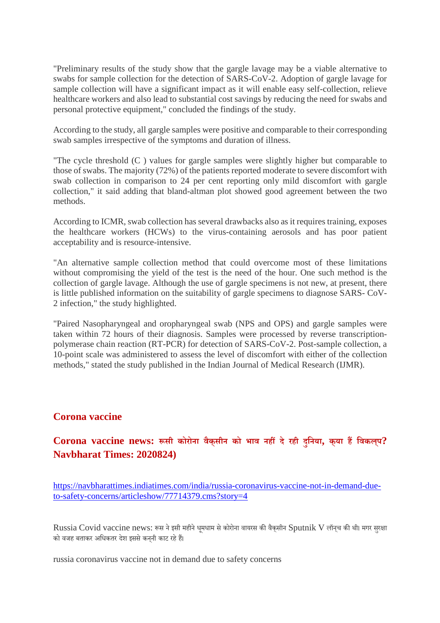"Preliminary results of the study show that the gargle lavage may be a viable alternative to swabs for sample collection for the detection of SARS-CoV-2. Adoption of gargle lavage for sample collection will have a significant impact as it will enable easy self-collection, relieve healthcare workers and also lead to substantial cost savings by reducing the need for swabs and personal protective equipment," concluded the findings of the study.

According to the study, all gargle samples were positive and comparable to their corresponding swab samples irrespective of the symptoms and duration of illness.

"The cycle threshold (C ) values for gargle samples were slightly higher but comparable to those of swabs. The majority (72%) of the patients reported moderate to severe discomfort with swab collection in comparison to 24 per cent reporting only mild discomfort with gargle collection," it said adding that bland-altman plot showed good agreement between the two methods.

According to ICMR, swab collection has several drawbacks also as it requires training, exposes the healthcare workers (HCWs) to the virus-containing aerosols and has poor patient acceptability and is resource-intensive.

"An alternative sample collection method that could overcome most of these limitations without compromising the yield of the test is the need of the hour. One such method is the collection of gargle lavage. Although the use of gargle specimens is not new, at present, there is little published information on the suitability of gargle specimens to diagnose SARS- CoV-2 infection," the study highlighted.

"Paired Nasopharyngeal and oropharyngeal swab (NPS and OPS) and gargle samples were taken within 72 hours of their diagnosis. Samples were processed by reverse transcriptionpolymerase chain reaction (RT-PCR) for detection of SARS-CoV-2. Post-sample collection, a 10-point scale was administered to assess the level of discomfort with either of the collection methods," stated the study published in the Indian Journal of Medical Research (IJMR).

#### **Corona vaccine**

# **Corona vaccine news: सी कोरोना वैक्सीन को भाव नहदे रही दुिनया, क्या हिवकलप् ? Navbharat Times: 2020824)**

https://navbharattimes.indiatimes.com/india/russia-coronavirus-vaccine-not-in-demand-dueto-safety-concerns/articleshow/77714379.cms?story=4

Russia Covid vaccine news: रूस ने इसी महीने धूमधाम से कोरोना वायरस की वैकसीन Sputnik V लॉनच की थी। मगर सरक्षा को वजह बताकर अधिकतर देश इससे कननी काट रहे हैं।

russia coronavirus vaccine not in demand due to safety concerns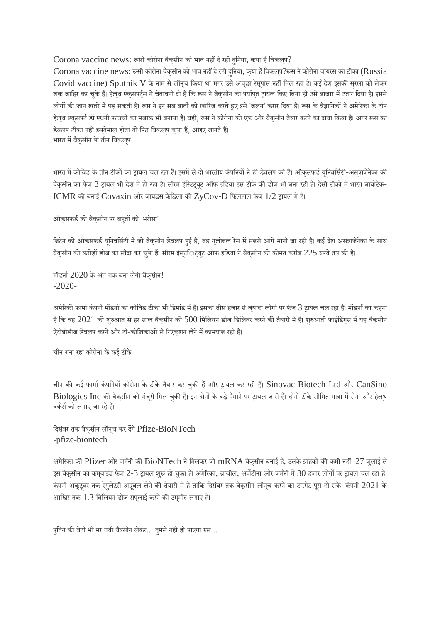Corona vaccine news: रूसी कोरोना वैक्सीन को भाव नहीं दे रही दुनिया, क्या हैं विकल्प?

Corona vaccine news: रूसी कोरोना वैकसीन को भाव नहीं दे रही दुनिया, कया हैं विकल्प?रूस ने कोरोना वायरस का टीका (Russia Covid vaccine) Sputnik V के नाम से लॉन्च किया था मगर उसे अच्छा रेसपांस नहीं मिल रहा है। कई देश इसकी सुरक्षा को लेकर शक जाहिर कर चुके हैं। हेलथ एकसपर्टस ने चेतावनी दी है कि रूस ने वैकसीन का पर्यापत ट्रायल किए बिना ही उसे बाजार में उतार दिया है। इससे लोगों की जान खतरे में पड़ सकती है। रूस ने इन सब बातों को खारिज करते हुए इसे 'जलन' करार दिया है। रूस के वैज्ञानिकों ने अमेरिका के टॉप हेल्थ एक्सपर्ट डॉ एंथनी फाउची का मजाक भी बनाया है। वहीं, रूस ने कोरोना की एक और वैक्सीन तैयार करने का दावा किया है। अगर रूस का डेवलप टीका नहीं इसतेमाल होता तो फिर विकल्प क्या हैं, आइए जानते हैं। भारत में वैकसीन के तीन विकल्प

भारत में कोविड के तीन टीकों का ट्रायल चल रहा है। इसमें से दो भारतीय कंपनियों ने ही डेवलप की है। ऑक्सफर्ड यूनिवर्सिटी-अस्त्राजेनेका की वैकसीन का फेज 3 ट्रायल भी देश में हो रहा है। सीरम इंस्टिट्यूट ऑफ इंडिया इस टीके की डोज भी बना रही है। देसी टीको में भारत बायोटेक-ICMR की बनाई Covaxin और जायडस कैडिला की ZyCov-D फिलहाल फेज 1/2 ट्रायल में हैं।

ऑकसफर्ड की वैकसीन पर बहतों को 'भरोसा'

ब्रिटेन की ऑक्सफर्ड यूनिवर्सिटी में जो वैक्सीन डेवलप हुई है, वह ग्लोबल रेस में सबसे आगे मानी जा रही है। कई देश अस्त्राजेनेका के साथ वैक्**सीन की करोड़ों डोज का सौदा कर चुके** हैं। सीरम इंस्ट**िट्यूट ऑफ इंडिया ने वैक्**सीन की कीमत करीब  $225$  रुपये तय की है।

मॉडर्ना  $2020$  के अंत तक बना लेगी वैकसीन! -2020-

अमेरिकी फार्मा कंपनी मॉडर्ना का कोविड टीका भी डिमांड में है। इसका तीस हजार से ज्यादा लोगों पर फेज 3 ट्रायल चल रहा है। मॉडर्ना का कहना है कि वह  $2021$  की शुरुआत से हर साल वैकसीन की  $500$  मिलियन डोज डिलिवर करने की तैयारी में है। शुरुआती फाइंडिंगस में यह वैकसीन ऐंटीबॉडीज डेवलप करने और टी-कोशिकाओं से रिएक्शन लेने में कामयाब रही है।

चीन बना रहा कोरोना केकई टीके

चीन की कई फार्मा कंपनियों कोरोना के टीके तैयार कर चुकी हैं और ट्रायल कर रही हैं। Sinovac Biotech Ltd और CanSino Biologics Inc की वैक्सीन को मंजूरी मिल चुकी है। इन दोनों के बड़े पैमाने पर ट्रायल जारी हैं। दोनों टीके सीमित मात्रा में सेना और हेल्थ वकसको लगाए जा रहेह।

िदसंबर तक वैक्सीन लॉन्च कर दगेPfize-BioNTech -pfize-biontech

अमेरिका की Pfizer और जर्मनी की BioNTech ने मिलकर जो mRNA वैक्सीन बनाई है, उसके ग्राहकों की कमी नहीं। 27 जुलाई से इस वैक्सीन का कमबाइंड फेज 2-3 ट्रायल शुरू हो चुका है। अमेरिका, ब्राजील, अर्जेंटीना और जर्मनी में 30 हजार लोगों पर ट्रायल चल रहा है। कंपनी अक्टूबर तक रेगुलेटरी अप्रूवल लेने की तैयारी में है ताकि दिसंबर तक वैकसीन लॉनच करने का टारगेट पूरा हो सके। कंपनी 2021 के आखिर तक 1.3 बिलियन डोज सपलाई करने की उम्मीद लगाए है।

पुतिन की बेटी भी मर गयी वैक्सीन लेकर... तुमसे नही हो पाएगा रुस...